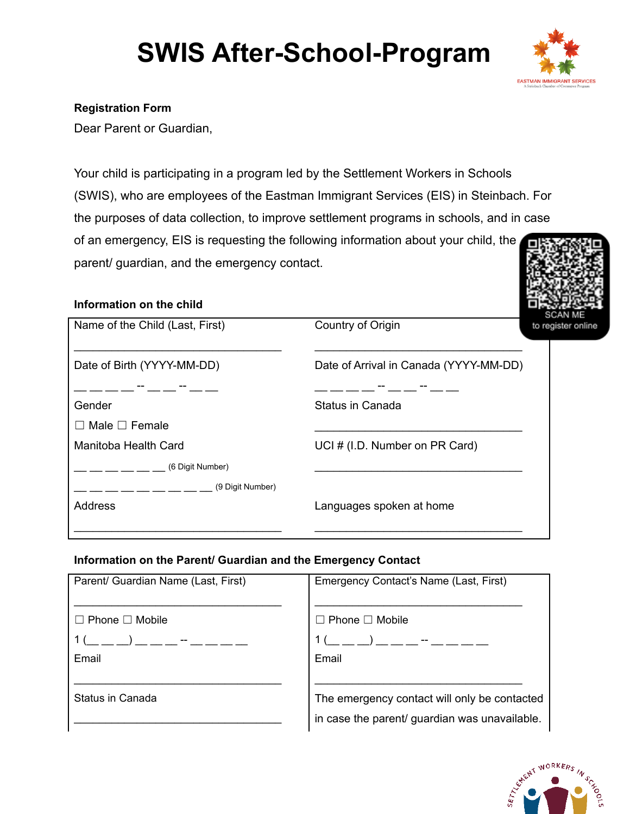# **SWIS After-School-Program**



### **Registration Form**

Dear Parent or Guardian,

Your child is participating in a program led by the Settlement Workers in Schools (SWIS), who are employees of the Eastman Immigrant Services (EIS) in Steinbach. For the purposes of data collection, to improve settlement programs in schools, and in case of an emergency, EIS is requesting the following information about your child, the parent/ guardian, and the emergency contact.

#### **Information on the child**

| Name of the Child (Last, First) | Country of Origin                      | SCAN ME<br>to register online |
|---------------------------------|----------------------------------------|-------------------------------|
| Date of Birth (YYYY-MM-DD)      | Date of Arrival in Canada (YYYY-MM-DD) |                               |
|                                 | -- __ __ --                            |                               |
| Gender                          | Status in Canada                       |                               |
| $\Box$ Male $\Box$ Female       |                                        |                               |
| Manitoba Health Card            | UCI # (I.D. Number on PR Card)         |                               |
| (6 Digit Number)                |                                        |                               |
| (9 Digit Number)                |                                        |                               |
| <b>Address</b>                  | Languages spoken at home               |                               |
|                                 |                                        |                               |

#### **Information on the Parent/ Guardian and the Emergency Contact**

| Parent/ Guardian Name (Last, First) | Emergency Contact's Name (Last, First)                                                        |
|-------------------------------------|-----------------------------------------------------------------------------------------------|
| $\Box$ Phone $\Box$ Mobile          | $\sqsupset$ Phone $\Box$ Mobile                                                               |
|                                     |                                                                                               |
| Email                               | Email                                                                                         |
|                                     |                                                                                               |
| Status in Canada                    | The emergency contact will only be contacted<br>in case the parent/ guardian was unavailable. |
|                                     |                                                                                               |